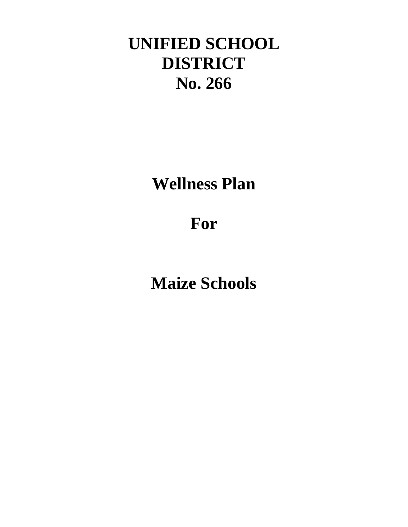# **UNIFIED SCHOOL DISTRICT No. 266**

**Wellness Plan**

# **For**

**Maize Schools**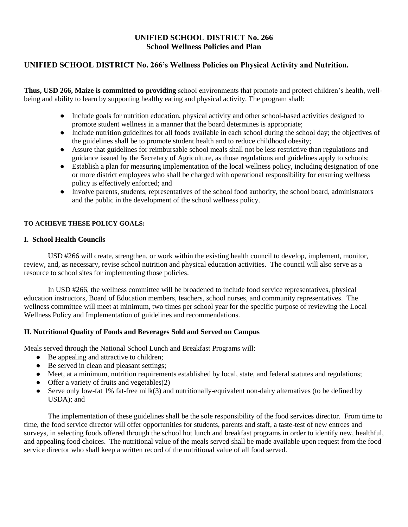## **UNIFIED SCHOOL DISTRICT No. 266 School Wellness Policies and Plan**

## **UNIFIED SCHOOL DISTRICT No. 266's Wellness Policies on Physical Activity and Nutrition.**

**Thus, USD 266, Maize is committed to providing** school environments that promote and protect children's health, wellbeing and ability to learn by supporting healthy eating and physical activity. The program shall:

- Include goals for nutrition education, physical activity and other school-based activities designed to promote student wellness in a manner that the board determines is appropriate;
- Include nutrition guidelines for all foods available in each school during the school day; the objectives of the guidelines shall be to promote student health and to reduce childhood obesity;
- Assure that guidelines for reimbursable school meals shall not be less restrictive than regulations and guidance issued by the Secretary of Agriculture, as those regulations and guidelines apply to schools;
- Establish a plan for measuring implementation of the local wellness policy, including designation of one or more district employees who shall be charged with operational responsibility for ensuring wellness policy is effectively enforced; and
- Involve parents, students, representatives of the school food authority, the school board, administrators and the public in the development of the school wellness policy.

### **TO ACHIEVE THESE POLICY GOALS:**

#### **I. School Health Councils**

USD #266 will create, strengthen, or work within the existing health council to develop, implement, monitor, review, and, as necessary, revise school nutrition and physical education activities. The council will also serve as a resource to school sites for implementing those policies.

In USD #266, the wellness committee will be broadened to include food service representatives, physical education instructors, Board of Education members, teachers, school nurses, and community representatives. The wellness committee will meet at minimum, two times per school year for the specific purpose of reviewing the Local Wellness Policy and Implementation of guidelines and recommendations.

### **II. Nutritional Quality of Foods and Beverages Sold and Served on Campus**

Meals served through the National School Lunch and Breakfast Programs will:

- Be appealing and attractive to children;
- Be served in clean and pleasant settings;
- Meet, at a minimum, nutrition requirements established by local, state, and federal statutes and regulations;
- Offer a variety of fruits and vegetables(2)
- Serve only low-fat 1% fat-free milk(3) and nutritionally-equivalent non-dairy alternatives (to be defined by USDA); and

The implementation of these guidelines shall be the sole responsibility of the food services director. From time to time, the food service director will offer opportunities for students, parents and staff, a taste-test of new entrees and surveys, in selecting foods offered through the school hot lunch and breakfast programs in order to identify new, healthful, and appealing food choices. The nutritional value of the meals served shall be made available upon request from the food service director who shall keep a written record of the nutritional value of all food served.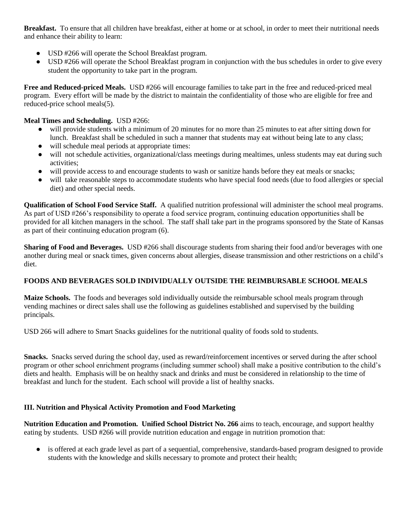**Breakfast.** To ensure that all children have breakfast, either at home or at school, in order to meet their nutritional needs and enhance their ability to learn:

- USD #266 will operate the School Breakfast program.
- USD #266 will operate the School Breakfast program in conjunction with the bus schedules in order to give every student the opportunity to take part in the program.

**Free and Reduced-priced Meals.** USD #266 will encourage families to take part in the free and reduced-priced meal program. Every effort will be made by the district to maintain the confidentiality of those who are eligible for free and reduced-price school meals(5).

## **Meal Times and Scheduling.** USD #266:

- will provide students with a minimum of 20 minutes for no more than 25 minutes to eat after sitting down for lunch. Breakfast shall be scheduled in such a manner that students may eat without being late to any class;
- will schedule meal periods at appropriate times:
- will not schedule activities, organizational/class meetings during mealtimes, unless students may eat during such activities;
- will provide access to and encourage students to wash or sanitize hands before they eat meals or snacks;
- will take reasonable steps to accommodate students who have special food needs (due to food allergies or special diet) and other special needs.

**Qualification of School Food Service Staff.** A qualified nutrition professional will administer the school meal programs. As part of USD #266's responsibility to operate a food service program, continuing education opportunities shall be provided for all kitchen managers in the school. The staff shall take part in the programs sponsored by the State of Kansas as part of their continuing education program (6).

**Sharing of Food and Beverages.** USD #266 shall discourage students from sharing their food and/or beverages with one another during meal or snack times, given concerns about allergies, disease transmission and other restrictions on a child's diet.

## **FOODS AND BEVERAGES SOLD INDIVIDUALLY OUTSIDE THE REIMBURSABLE SCHOOL MEALS**

**Maize Schools.** The foods and beverages sold individually outside the reimbursable school meals program through vending machines or direct sales shall use the following as guidelines established and supervised by the building principals.

USD 266 will adhere to Smart Snacks guidelines for the nutritional quality of foods sold to students.

**Snacks.** Snacks served during the school day, used as reward/reinforcement incentives or served during the after school program or other school enrichment programs (including summer school) shall make a positive contribution to the child's diets and health. Emphasis will be on healthy snack and drinks and must be considered in relationship to the time of breakfast and lunch for the student. Each school will provide a list of healthy snacks.

### **III. Nutrition and Physical Activity Promotion and Food Marketing**

**Nutrition Education and Promotion. Unified School District No. 266** aims to teach, encourage, and support healthy eating by students. USD #266 will provide nutrition education and engage in nutrition promotion that:

● is offered at each grade level as part of a sequential, comprehensive, standards-based program designed to provide students with the knowledge and skills necessary to promote and protect their health;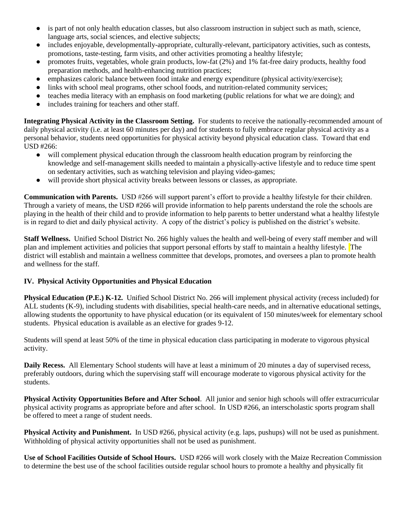- is part of not only health education classes, but also classroom instruction in subject such as math, science, language arts, social sciences, and elective subjects;
- includes enjoyable, developmentally-appropriate, culturally-relevant, participatory activities, such as contests, promotions, taste-testing, farm visits, and other activities promoting a healthy lifestyle;
- promotes fruits, vegetables, whole grain products, low-fat (2%) and 1% fat-free dairy products, healthy food preparation methods, and health-enhancing nutrition practices;
- emphasizes caloric balance between food intake and energy expenditure (physical activity/exercise);
- links with school meal programs, other school foods, and nutrition-related community services;
- teaches media literacy with an emphasis on food marketing (public relations for what we are doing); and
- includes training for teachers and other staff.

**Integrating Physical Activity in the Classroom Setting.** For students to receive the nationally-recommended amount of daily physical activity (i.e. at least 60 minutes per day) and for students to fully embrace regular physical activity as a personal behavior, students need opportunities for physical activity beyond physical education class. Toward that end USD #266:

- will complement physical education through the classroom health education program by reinforcing the knowledge and self-management skills needed to maintain a physically-active lifestyle and to reduce time spent on sedentary activities, such as watching television and playing video-games;
- will provide short physical activity breaks between lessons or classes, as appropriate.

**Communication with Parents.** USD #266 will support parent's effort to provide a healthy lifestyle for their children. Through a variety of means, the USD #266 will provide information to help parents understand the role the schools are playing in the health of their child and to provide information to help parents to better understand what a healthy lifestyle is in regard to diet and daily physical activity. A copy of the district's policy is published on the district's website.

**Staff Wellness.** Unified School District No. 266 highly values the health and well-being of every staff member and will plan and implement activities and policies that support personal efforts by staff to maintain a healthy lifestyle. The district will establish and maintain a wellness committee that develops, promotes, and oversees a plan to promote health and wellness for the staff.

## **IV. Physical Activity Opportunities and Physical Education**

**Physical Education (P.E.) K-12.** Unified School District No. 266 will implement physical activity (recess included) for ALL students (K-9), including students with disabilities, special health-care needs, and in alternative educational settings, allowing students the opportunity to have physical education (or its equivalent of 150 minutes/week for elementary school students. Physical education is available as an elective for grades 9-12.

Students will spend at least 50% of the time in physical education class participating in moderate to vigorous physical activity.

**Daily Recess.** All Elementary School students will have at least a minimum of 20 minutes a day of supervised recess, preferably outdoors, during which the supervising staff will encourage moderate to vigorous physical activity for the students.

**Physical Activity Opportunities Before and After School**. All junior and senior high schools will offer extracurricular physical activity programs as appropriate before and after school. In USD #266, an interscholastic sports program shall be offered to meet a range of student needs.

**Physical Activity and Punishment.** In USD #266, physical activity (e.g. laps, pushups) will not be used as punishment. Withholding of physical activity opportunities shall not be used as punishment.

**Use of School Facilities Outside of School Hours.** USD #266 will work closely with the Maize Recreation Commission to determine the best use of the school facilities outside regular school hours to promote a healthy and physically fit